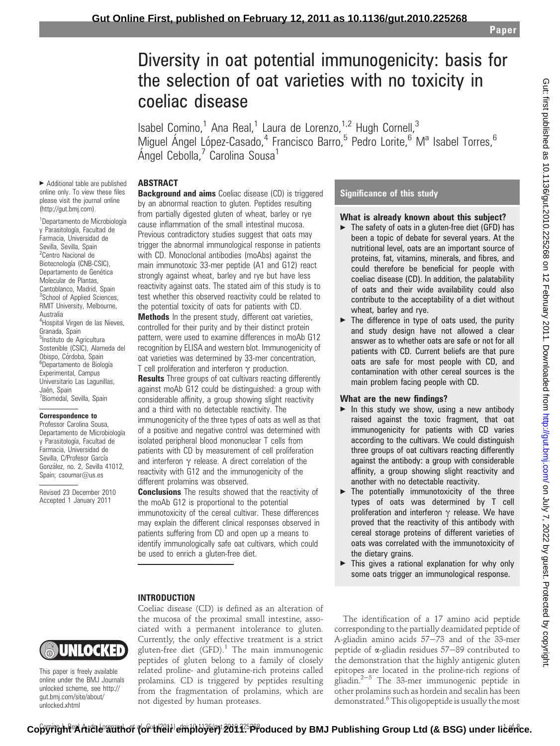Paper

# Diversity in oat potential immunogenicity: basis for the selection of oat varieties with no toxicity in coeliac disease

Isabel Comino,<sup>1</sup> Ana Real,<sup>1</sup> Laura de Lorenzo,<sup>1,2</sup> Hugh Cornell,<sup>3</sup> Miguel Ángel López-Casado,<sup>4</sup> Francisco Barro,<sup>5</sup> Pedro Lorite,<sup>6</sup> M<sup>a</sup> Isabel Torres,<sup>6</sup>  $Ángel Cebolla<sup>7</sup>$  Carolina Sousa<sup>1</sup>

## ABSTRACT

 $\blacktriangleright$  Additional table are published online only. To view these files please visit the journal online (http://gut.bmj.com).

<sup>1</sup>Departamento de Microbiología y Parasitología, Facultad de Farmacia, Universidad de Sevilla, Sevilla, Spain <sup>2</sup>Centro Nacional de Biotecnología (CNB-CSIC), Departamento de Genética Molecular de Plantas, Cantoblanco, Madrid, Spain <sup>3</sup>School of Applied Sciences, RMIT University, Melbourne, Australia 4 Hospital Virgen de las Nieves, Granada, Spain 5 Instituto de Agricultura Sostenible (CSIC), Alameda del Obispo, Córdoba, Spain <sup>6</sup>Departamento de Biología Experimental, Campus Universitario Las Lagunillas, Jaén, Spain <sup>7</sup>Biomedal, Sevilla, Spain

#### Correspondence to

Professor Carolina Sousa, Departamento de Microbiología y Parasitología, Facultad de Farmacia, Universidad de Sevilla, C/Profesor García González, no. 2, Sevilla 41012, Spain; csoumar@us.es

Revised 23 December 2010 Accepted 1 January 2011

**Background and aims** Coeliac disease (CD) is triggered by an abnormal reaction to gluten. Peptides resulting from partially digested gluten of wheat, barley or rye cause inflammation of the small intestinal mucosa. Previous contradictory studies suggest that oats may trigger the abnormal immunological response in patients with CD. Monoclonal antibodies (moAbs) against the main immunotoxic 33-mer peptide (A1 and G12) react strongly against wheat, barley and rye but have less reactivity against oats. The stated aim of this study is to test whether this observed reactivity could be related to the potential toxicity of oats for patients with CD.

**Methods** In the present study, different oat varieties, controlled for their purity and by their distinct protein pattern, were used to examine differences in moAb G12 recognition by ELISA and western blot. Immunogenicity of oat varieties was determined by 33-mer concentration, T cell proliferation and interferon  $\gamma$  production.

Results Three groups of oat cultivars reacting differently against moAb G12 could be distinguished: a group with considerable affinity, a group showing slight reactivity and a third with no detectable reactivity. The immunogenicity of the three types of oats as well as that of a positive and negative control was determined with isolated peripheral blood mononuclear T cells from patients with CD by measurement of cell proliferation and interferon  $\gamma$  release. A direct correlation of the reactivity with G12 and the immunogenicity of the different prolamins was observed.

**Conclusions** The results showed that the reactivity of the moAb G12 is proportional to the potential immunotoxicity of the cereal cultivar. These differences may explain the different clinical responses observed in patients suffering from CD and open up a means to identify immunologically safe oat cultivars, which could be used to enrich a gluten-free diet.

#### INTRODUCTION

UNIOCKED

This paper is freely available online under the BMJ Journals unlocked scheme, see http:// gut.bmj.com/site/about/ unlocked.xhtml

Coeliac disease (CD) is defined as an alteration of the mucosa of the proximal small intestine, associated with a permanent intolerance to gluten. Currently, the only effective treatment is a strict gluten-free diet  $(GFD)$ .<sup>1</sup> The main immunogenic peptides of gluten belong to a family of closely related proline- and glutamine-rich proteins called prolamins. CD is triggered by peptides resulting from the fragmentation of prolamins, which are not digested by human proteases.

## Significance of this study

#### What is already known about this subject?

- $\blacktriangleright$  The safety of oats in a gluten-free diet (GFD) has been a topic of debate for several years. At the nutritional level, oats are an important source of proteins, fat, vitamins, minerals, and fibres, and could therefore be beneficial for people with coeliac disease (CD). In addition, the palatability of oats and their wide availability could also contribute to the acceptability of a diet without wheat, barley and rye.
- $\blacktriangleright$  The difference in type of oats used, the purity and study design have not allowed a clear answer as to whether oats are safe or not for all patients with CD. Current beliefs are that pure oats are safe for most people with CD, and contamination with other cereal sources is the main problem facing people with CD.

#### What are the new findings?

- $\blacktriangleright$  In this study we show, using a new antibody raised against the toxic fragment, that oat immunogenicity for patients with CD varies according to the cultivars. We could distinguish three groups of oat cultivars reacting differently against the antibody: a group with considerable affinity, a group showing slight reactivity and another with no detectable reactivity.
- $\blacktriangleright$  The potentially immunotoxicity of the three types of oats was determined by T cell proliferation and interferon  $\gamma$  release. We have proved that the reactivity of this antibody with cereal storage proteins of different varieties of oats was correlated with the immunotoxicity of the dietary grains.
- $\blacktriangleright$  This gives a rational explanation for why only some oats trigger an immunological response.

The identification of a 17 amino acid peptide corresponding to the partially deamidated peptide of A-gliadin amino acids  $57-73$  and of the 33-mer peptide of  $\alpha$ -gliadin residues 57-89 contributed to the demonstration that the highly antigenic gluten epitopes are located in the proline-rich regions of gliadin. $2-5$  The 33-mer immunogenic peptide in other prolamins such as hordein and secalin has been demonstrated.<sup>6</sup>This oligopeptide is usually the most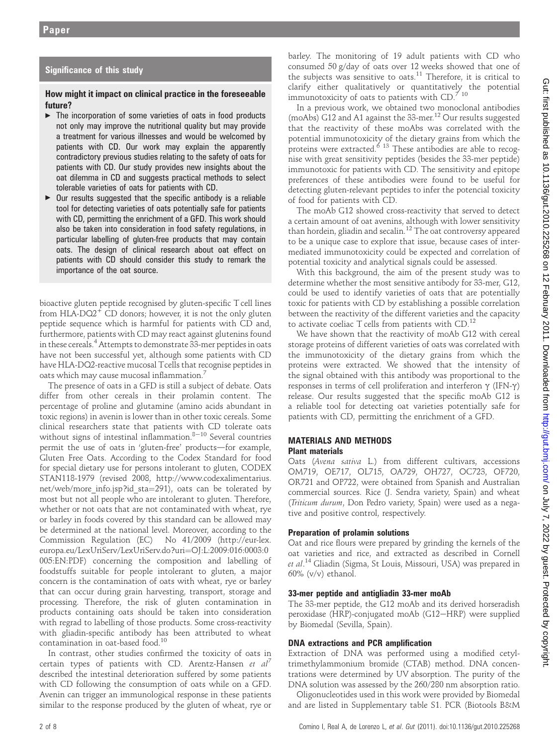## Significance of this study

#### How might it impact on clinical practice in the foreseeable future?

- $\blacktriangleright$  The incorporation of some varieties of oats in food products not only may improve the nutritional quality but may provide a treatment for various illnesses and would be welcomed by patients with CD. Our work may explain the apparently contradictory previous studies relating to the safety of oats for patients with CD. Our study provides new insights about the oat dilemma in CD and suggests practical methods to select tolerable varieties of oats for patients with CD.
- < Our results suggested that the specific antibody is a reliable tool for detecting varieties of oats potentially safe for patients with CD, permitting the enrichment of a GFD. This work should also be taken into consideration in food safety regulations, in particular labelling of gluten-free products that may contain oats. The design of clinical research about oat effect on patients with CD should consider this study to remark the importance of the oat source.

bioactive gluten peptide recognised by gluten-specific T cell lines from  $HLA-DQ2^+$  CD donors; however, it is not the only gluten peptide sequence which is harmful for patients with CD and, furthermore, patients with CD may react against glutenins found in these cereals.<sup>4</sup> Attempts to demonstrate 33-mer peptides in oats have not been successful yet, although some patients with CD have HLA-DQ2-reactive mucosal Tcells that recognise peptides in oats which may cause mucosal inflammation.<sup>7</sup>

The presence of oats in a GFD is still a subject of debate. Oats differ from other cereals in their prolamin content. The percentage of proline and glutamine (amino acids abundant in toxic regions) in avenin is lower than in other toxic cereals. Some clinical researchers state that patients with CD tolerate oats without signs of intestinal inflammation. $8-10$  Several countries permit the use of oats in 'gluten-free' products-for example, Gluten Free Oats. According to the Codex Standard for food for special dietary use for persons intolerant to gluten, CODEX STAN118-1979 (revised 2008, http://www.codexalimentarius. net/web/more info.jsp?id sta=291), oats can be tolerated by most but not all people who are intolerant to gluten. Therefore, whether or not oats that are not contaminated with wheat, rye or barley in foods covered by this standard can be allowed may be determined at the national level. Moreover, according to the Commission Regulation (EC) No 41/2009 (http://eur-lex. europa.eu/LexUriServ/LexUriServ.do?uri=OJ:L:2009:016:0003:0 005:EN:PDF) concerning the composition and labelling of foodstuffs suitable for people intolerant to gluten, a major concern is the contamination of oats with wheat, rye or barley that can occur during grain harvesting, transport, storage and processing. Therefore, the risk of gluten contamination in products containing oats should be taken into consideration with regrad to labelling of those products. Some cross-reactivity with gliadin-specific antibody has been attributed to wheat contamination in oat-based food.10

In contrast, other studies confirmed the toxicity of oats in certain types of patients with CD. Arentz-Hansen et  $al'$ described the intestinal deterioration suffered by some patients with CD following the consumption of oats while on a GFD. Avenin can trigger an immunological response in these patients similar to the response produced by the gluten of wheat, rye or barley. The monitoring of 19 adult patients with CD who consumed 50 g/day of oats over 12 weeks showed that one of the subjects was sensitive to oats.<sup>11</sup> Therefore, it is critical to clarify either qualitatively or quantitatively the potential immunotoxicity of oats to patients with CD. $^{7}$  10

In a previous work, we obtained two monoclonal antibodies (moAbs) G12 and A1 against the  $33$ -mer.<sup>12</sup> Our results suggested that the reactivity of these moAbs was correlated with the potential immunotoxicity of the dietary grains from which the proteins were extracted.<sup> $6\,13$ </sup> These antibodies are able to recognise with great sensitivity peptides (besides the 33-mer peptide) immunotoxic for patients with CD. The sensitivity and epitope preferences of these antibodies were found to be useful for detecting gluten-relevant peptides to infer the potencial toxicity of food for patients with CD.

The moAb G12 showed cross-reactivity that served to detect a certain amount of oat avenins, although with lower sensitivity than hordein, gliadin and secalin.<sup>12</sup> The oat controversy appeared to be a unique case to explore that issue, because cases of intermediated immunotoxicity could be expected and correlation of potential toxicity and analytical signals could be assessed.

With this background, the aim of the present study was to determine whether the most sensitive antibody for 33-mer, G12, could be used to identify varieties of oats that are potentially toxic for patients with CD by establishing a possible correlation between the reactivity of the different varieties and the capacity to activate coeliac T cells from patients with  $CD$ .<sup>12</sup>

We have shown that the reactivity of moAb G12 with cereal storage proteins of different varieties of oats was correlated with the immunotoxicity of the dietary grains from which the proteins were extracted. We showed that the intensity of the signal obtained with this antibody was proportional to the responses in terms of cell proliferation and interferon  $\gamma$  (IFN- $\gamma$ ) release. Our results suggested that the specific moAb G12 is a reliable tool for detecting oat varieties potentially safe for patients with CD, permitting the enrichment of a GFD.

#### MATERIALS AND METHODS Plant materials

Oats (Avena sativa L.) from different cultivars, accessions OM719, OE717, OL715, OA729, OH727, OC723, OF720, OR721 and OP722, were obtained from Spanish and Australian commercial sources. Rice (J. Sendra variety, Spain) and wheat (Triticum durum, Don Pedro variety, Spain) were used as a negative and positive control, respectively.

#### Preparation of prolamin solutions

Oat and rice flours were prepared by grinding the kernels of the oat varieties and rice, and extracted as described in Cornell et al.<sup>14</sup> Gliadin (Sigma, St Louis, Missouri, USA) was prepared in  $60\%$  (v/v) ethanol.

## 33-mer peptide and antigliadin 33-mer moAb

The 33-mer peptide, the G12 moAb and its derived horseradish peroxidase (HRP)-conjugated moAb (G12-HRP) were supplied by Biomedal (Sevilla, Spain).

## DNA extractions and PCR amplification

Extraction of DNA was performed using a modified cetyltrimethylammonium bromide (CTAB) method. DNA concentrations were determined by UV absorption. The purity of the DNA solution was assessed by the 260/280 nm absorption ratio.

Oligonucleotides used in this work were provided by Biomedal and are listed in Supplementary table S1. PCR (Biotools B&M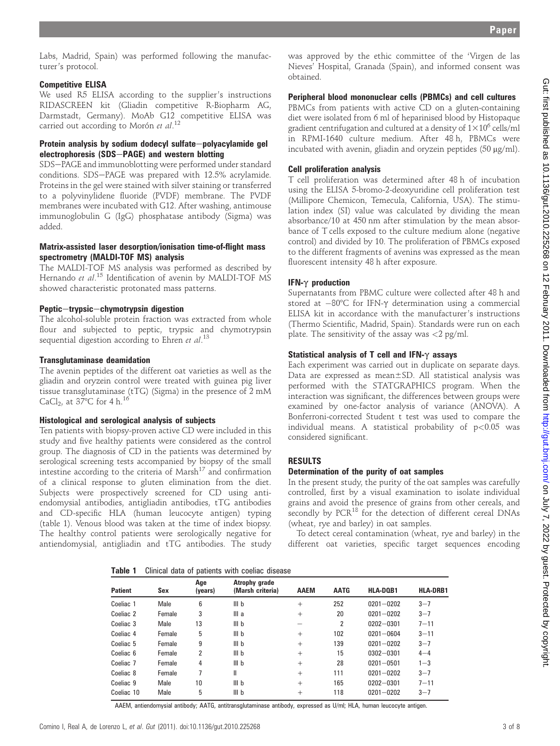Labs, Madrid, Spain) was performed following the manufacturer's protocol.

## Competitive ELISA

We used R5 ELISA according to the supplier's instructions RIDASCREEN kit (Gliadin competitive R-Biopharm AG, Darmstadt, Germany). MoAb G12 competitive ELISA was carried out according to Morón et al.<sup>12</sup>

#### Protein analysis by sodium dodecyl sulfate-polyacylamide gel electrophoresis (SDS-PAGE) and western blotting

SDS-PAGE and immunoblotting were performed under standard conditions. SDS-PAGE was prepared with 12.5% acrylamide. Proteins in the gel were stained with silver staining or transferred to a polyvinylidene fluoride (PVDF) membrane. The PVDF membranes were incubated with G12. After washing, antimouse immunoglobulin G (IgG) phosphatase antibody (Sigma) was added.

#### Matrix-assisted laser desorption/ionisation time-of-flight mass spectrometry (MALDI-TOF MS) analysis

The MALDI-TOF MS analysis was performed as described by Hernando et al.<sup>15</sup> Identification of avenin by MALDI-TOF MS showed characteristic protonated mass patterns.

## Peptic-trypsic-chymotrypsin digestion

The alcohol-soluble protein fraction was extracted from whole flour and subjected to peptic, trypsic and chymotrypsin sequential digestion according to Ehren et al.<sup>13</sup>

## Transglutaminase deamidation

The avenin peptides of the different oat varieties as well as the gliadin and oryzein control were treated with guinea pig liver tissue transglutaminase (tTG) (Sigma) in the presence of 2 mM CaCl<sub>2</sub>, at  $37^{\circ}$ C for 4 h.<sup>16</sup>

#### Histological and serological analysis of subjects

Ten patients with biopsy-proven active CD were included in this study and five healthy patients were considered as the control group. The diagnosis of CD in the patients was determined by serological screening tests accompanied by biopsy of the small intestine according to the criteria of  $Marsh^{17}$  and confirmation of a clinical response to gluten elimination from the diet. Subjects were prospectively screened for CD using antiendomysial antibodies, antigliadin antibodies, tTG antibodies and CD-specific HLA (human leucocyte antigen) typing (table 1). Venous blood was taken at the time of index biopsy. The healthy control patients were serologically negative for antiendomysial, antigliadin and tTG antibodies. The study was approved by the ethic committee of the 'Virgen de las Nieves' Hospital, Granada (Spain), and informed consent was obtained.

# Peripheral blood mononuclear cells (PBMCs) and cell cultures

PBMCs from patients with active CD on a gluten-containing diet were isolated from 6 ml of heparinised blood by Histopaque gradient centrifugation and cultured at a density of  $1\times10^6$  cells/ml in RPMI-1640 culture medium. After 48 h, PBMCs were incubated with avenin, gliadin and oryzein peptides  $(50 \mu g/ml)$ .

# Cell proliferation analysis

T cell proliferation was determined after 48 h of incubation using the ELISA 5-bromo-2-deoxyuridine cell proliferation test (Millipore Chemicon, Temecula, California, USA). The stimulation index (SI) value was calculated by dividing the mean absorbance/10 at 450 nm after stimulation by the mean absorbance of T cells exposed to the culture medium alone (negative control) and divided by 10. The proliferation of PBMCs exposed to the different fragments of avenins was expressed as the mean fluorescent intensity 48 h after exposure.

## IFN- $\gamma$  production

Supernatants from PBMC culture were collected after 48 h and stored at  $-80^{\circ}$ C for IFN- $\gamma$  determination using a commercial<br>ELISA kit in accordance with the manufacturer's instructions ELISA kit in accordance with the manufacturer's instructions (Thermo Scientific, Madrid, Spain). Standards were run on each plate. The sensitivity of the assay was  $\langle 2 \text{ pg/ml}}$ .

## Statistical analysis of T cell and IFN- $\gamma$  assays

Each experiment was carried out in duplicate on separate days. Data are expressed as mean $\pm$ SD. All statistical analysis was performed with the STATGRAPHICS program. When the interaction was significant, the differences between groups were examined by one-factor analysis of variance (ANOVA). A Bonferroni-corrected Student t test was used to compare the individual means. A statistical probability of  $p < 0.05$  was considered significant.

## RESULTS

## Determination of the purity of oat samples

In the present study, the purity of the oat samples was carefully controlled, first by a visual examination to isolate individual grains and avoid the presence of grains from other cereals, and secondly by PCR<sup>18</sup> for the detection of different cereal DNAs (wheat, rye and barley) in oat samples.

To detect cereal contamination (wheat, rye and barley) in the different oat varieties, specific target sequences encoding

Table 1 Clinical data of patients with coeliac disease

| <b>Patient</b><br>Sex<br>Male<br>Female<br>Male | (years)<br>6<br>3 | (Marsh criteria)<br>III <sub>b</sub><br>III a | <b>AAEM</b><br>$^{+}$ | <b>AATG</b><br>252 | <b>HLA-DOB1</b><br>$0201 - 0202$ | <b>HLA-DRB1</b><br>$3 - 7$ |
|-------------------------------------------------|-------------------|-----------------------------------------------|-----------------------|--------------------|----------------------------------|----------------------------|
| Coeliac 1<br>Coeliac 2<br>Coeliac <sub>3</sub>  |                   |                                               |                       |                    |                                  |                            |
|                                                 |                   |                                               |                       |                    |                                  |                            |
|                                                 |                   |                                               | $^{+}$                | 20                 | $0201 - 0202$                    | $3 - 7$                    |
|                                                 | 13                | III <sub>b</sub>                              | -                     | 2                  | $0202 - 0301$                    | $7 - 11$                   |
| Coeliac 4<br>Female                             | 5                 | III <sub>b</sub>                              | $^{+}$                | 102                | $0201 - 0604$                    | $3 - 11$                   |
| Coeliac 5<br>Female                             | 9                 | III <sub>b</sub>                              | $^{+}$                | 139                | $0201 - 0202$                    | $3 - 7$                    |
| Coeliac 6<br>Female                             | 2                 | III <sub>b</sub>                              | $^{+}$                | 15                 | $0302 - 0301$                    | $4 - 4$                    |
| Coeliac 7<br>Female                             | 4                 | III <sub>b</sub>                              | $^{+}$                | 28                 | $0201 - 0501$                    | $1 - 3$                    |
| Coeliac 8<br>Female                             | 7                 | Ш                                             | $^{+}$                | 111                | $0201 - 0202$                    | $3 - 7$                    |
| Male<br>Coeliac <sub>9</sub>                    | 10                | III <sub>b</sub>                              | $^{+}$                | 165                | $0202 - 0301$                    | $7 - 11$                   |
| Male<br>Coeliac 10                              | 5                 | III b                                         | $^{+}$                | 118                | $0201 - 0202$                    | $3 - 7$                    |

AAEM, antiendomysial antibody; AATG, antitransglutaminase antibody, expressed as U/ml; HLA, human leucocyte antigen.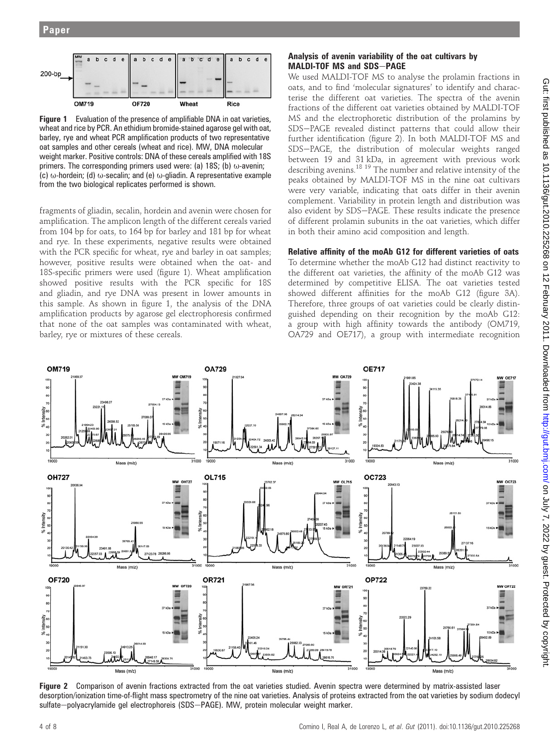

**Figure 1** Evaluation of the presence of amplifiable DNA in oat varieties, wheat and rice by PCR. An ethidium bromide-stained agarose gel with oat, barley, rye and wheat PCR amplification products of two representative oat samples and other cereals (wheat and rice). MW, DNA molecular weight marker. Positive controls: DNA of these cereals amplified with 18S primers. The corresponding primers used were: (a) 18S; (b)  $\omega$ -avenin; (c)  $\omega$ -hordein; (d)  $\omega$ -secalin; and (e)  $\omega$ -gliadin. A representative example from the two biological replicates performed is shown.

fragments of gliadin, secalin, hordein and avenin were chosen for amplification. The amplicon length of the different cereals varied from 104 bp for oats, to 164 bp for barley and 181 bp for wheat and rye. In these experiments, negative results were obtained with the PCR specific for wheat, rye and barley in oat samples; however, positive results were obtained when the oat- and 18S-specific primers were used (figure 1). Wheat amplification showed positive results with the PCR specific for 18S and gliadin, and rye DNA was present in lower amounts in this sample. As shown in figure 1, the analysis of the DNA amplification products by agarose gel electrophoresis confirmed that none of the oat samples was contaminated with wheat, barley, rye or mixtures of these cereals.

# Analysis of avenin variability of the oat cultivars by MALDI-TOF MS and SDS-PAGE

We used MALDI-TOF MS to analyse the prolamin fractions in oats, and to find 'molecular signatures' to identify and characterise the different oat varieties. The spectra of the avenin fractions of the different oat varieties obtained by MALDI-TOF MS and the electrophoretic distribution of the prolamins by SDS-PAGE revealed distinct patterns that could allow their further identification (figure 2). In both MALDI-TOF MS and SDS-PAGE, the distribution of molecular weights ranged between 19 and 31 kDa, in agreement with previous work describing avenins.<sup>18</sup> <sup>19</sup> The number and relative intensity of the peaks obtained by MALDI-TOF MS in the nine oat cultivars were very variable, indicating that oats differ in their avenin complement. Variability in protein length and distribution was also evident by SDS-PAGE. These results indicate the presence of different prolamin subunits in the oat varieties, which differ in both their amino acid composition and length.

## Relative affinity of the moAb G12 for different varieties of oats

To determine whether the moAb G12 had distinct reactivity to the different oat varieties, the affinity of the moAb G12 was determined by competitive ELISA. The oat varieties tested showed different affinities for the moAb G12 (figure 3A). Therefore, three groups of oat varieties could be clearly distinguished depending on their recognition by the moAb G12: a group with high affinity towards the antibody (OM719, OA729 and OE717), a group with intermediate recognition



Figure 2 Comparison of avenin fractions extracted from the oat varieties studied. Avenin spectra were determined by matrix-assisted laser desorption/ionization time-of-flight mass spectrometry of the nine oat varieties. Analysis of proteins extracted from the oat varieties by sodium dodecyl sulfate-polyacrylamide gel electrophoreis (SDS-PAGE). MW, protein molecular weight marker.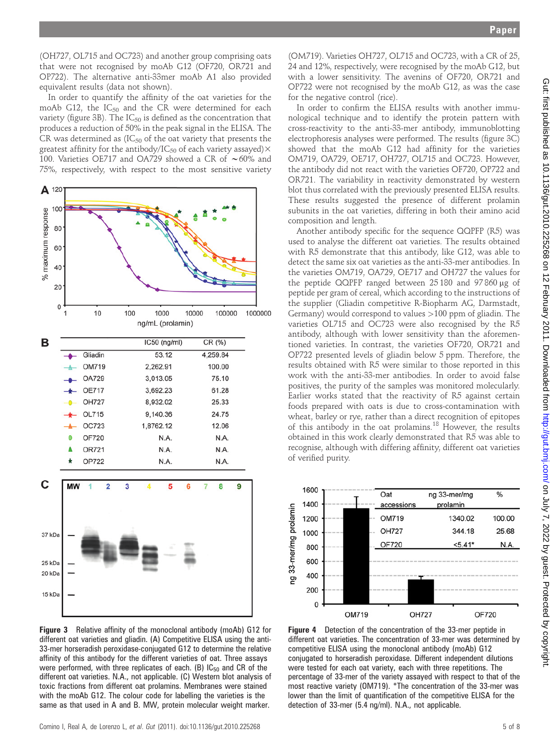Gut: first published as 10.1136/gut.2010.225268 on 12 February 2011. Downloaded from http://gut.bmj.com/ on July 7, 2022 by guest. Protected by copyright Gut: first published as 10.1136/gut.2010.225268 on 12 February 2011. Downloaded from <http://gut.bmj.com/> on July 7, 2022 by guest. Protected by copyright.

(OH727, OL715 and OC723) and another group comprising oats that were not recognised by moAb G12 (OF720, OR721 and OP722). The alternative anti-33mer moAb A1 also provided equivalent results (data not shown).

In order to quantify the affinity of the oat varieties for the moAb G12, the  $IC_{50}$  and the CR were determined for each variety (figure 3B). The  $IC_{50}$  is defined as the concentration that produces a reduction of 50% in the peak signal in the ELISA. The CR was determined as  $(IC_{50}$  of the oat variety that presents the greatest affinity for the antibody/IC<sub>50</sub> of each variety assayed) $\times$ 100. Varieties OE717 and OA729 showed a CR of  $\sim 60\%$  and 75%, respectively, with respect to the most sensitive variety



Figure 3 Relative affinity of the monoclonal antibody (moAb) G12 for different oat varieties and gliadin. (A) Competitive ELISA using the anti-33-mer horseradish peroxidase-conjugated G12 to determine the relative affinity of this antibody for the different varieties of oat. Three assays were performed, with three replicates of each. (B)  $IC_{50}$  and CR of the different oat varieties. N.A., not applicable. (C) Western blot analysis of toxic fractions from different oat prolamins. Membranes were stained with the moAb G12. The colour code for labelling the varieties is the same as that used in A and B. MW, protein molecular weight marker.

(OM719). Varieties OH727, OL715 and OC723, with a CR of 25, 24 and 12%, respectively, were recognised by the moAb G12, but with a lower sensitivity. The avenins of OF720, OR721 and OP722 were not recognised by the moAb G12, as was the case for the negative control (rice).

In order to confirm the ELISA results with another immunological technique and to identify the protein pattern with cross-reactivity to the anti-33-mer antibody, immunoblotting electrophoresis analyses were performed. The results (figure 3C) showed that the moAb G12 had affinity for the varieties OM719, OA729, OE717, OH727, OL715 and OC723. However, the antibody did not react with the varieties OF720, OP722 and OR721. The variability in reactivity demonstrated by western blot thus correlated with the previously presented ELISA results. These results suggested the presence of different prolamin subunits in the oat varieties, differing in both their amino acid composition and length.

Another antibody specific for the sequence QQPFP (R5) was used to analyse the different oat varieties. The results obtained with R5 demonstrate that this antibody, like G12, was able to detect the same six oat varieties as the anti-33-mer antibodies. In the varieties OM719, OA729, OE717 and OH727 the values for the peptide QQPFP ranged between 25 180 and 97 860 mg of peptide per gram of cereal, which according to the instructions of the supplier (Gliadin competitive R-Biopharm AG, Darmstadt, Germany) would correspond to values  $>100$  ppm of gliadin. The varieties OL715 and OC723 were also recognised by the R5 antibody, although with lower sensitivity than the aforementioned varieties. In contrast, the varieties OF720, OR721 and OP722 presented levels of gliadin below 5 ppm. Therefore, the results obtained with R5 were similar to those reported in this work with the anti-33-mer antibodies. In order to avoid false positives, the purity of the samples was monitored molecularly. Earlier works stated that the reactivity of R5 against certain foods prepared with oats is due to cross-contamination with wheat, barley or rye, rather than a direct recognition of epitopes of this antibody in the oat prolamins.<sup>18</sup> However, the results obtained in this work clearly demonstrated that R5 was able to recognise, although with differing affinity, different oat varieties of verified purity.



Figure 4 Detection of the concentration of the 33-mer peptide in different oat varieties. The concentration of 33-mer was determined by competitive ELISA using the monoclonal antibody (moAb) G12 conjugated to horseradish peroxidase. Different independent dilutions were tested for each oat variety, each with three repetitions. The percentage of 33-mer of the variety assayed with respect to that of the most reactive variety (OM719). \*The concentration of the 33-mer was lower than the limit of quantification of the competitive ELISA for the detection of 33-mer (5.4 ng/ml). N.A., not applicable.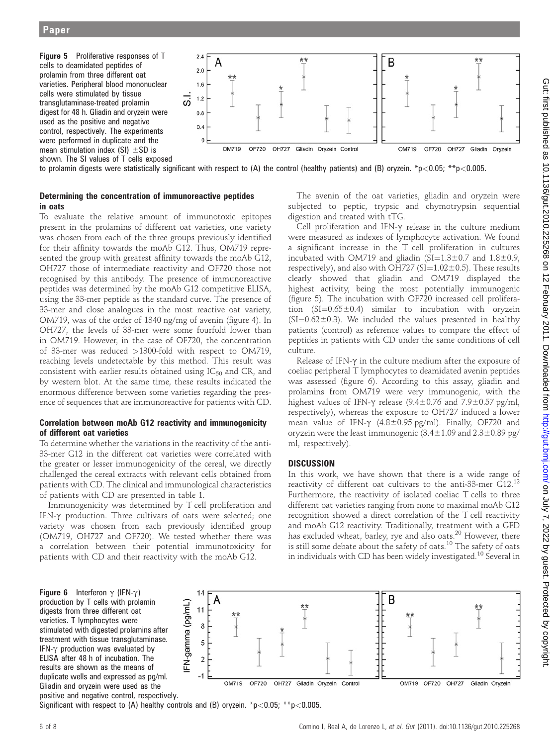Figure 5 Proliferative responses of T cells to deamidated peptides of prolamin from three different oat varieties. Peripheral blood mononuclear cells were stimulated by tissue transglutaminase-treated prolamin digest for 48 h. Gliadin and oryzein were used as the positive and negative control, respectively. The experiments were performed in duplicate and the mean stimulation index  $(SI) \pm SD$  is shown. The SI values of T cells exposed



to prolamin digests were statistically significant with respect to (A) the control (healthy patients) and (B) oryzein. \*p<0.05; \*\*p<0.005.

#### Determining the concentration of immunoreactive peptides in oats

To evaluate the relative amount of immunotoxic epitopes present in the prolamins of different oat varieties, one variety was chosen from each of the three groups previously identified for their affinity towards the moAb G12. Thus, OM719 represented the group with greatest affinity towards the moAb G12, OH727 those of intermediate reactivity and OF720 those not recognised by this antibody. The presence of immunoreactive peptides was determined by the moAb G12 competitive ELISA, using the 33-mer peptide as the standard curve. The presence of 33-mer and close analogues in the most reactive oat variety, OM719, was of the order of 1340 ng/mg of avenin (figure 4). In OH727, the levels of 33-mer were some fourfold lower than in OM719. However, in the case of OF720, the concentration of 33-mer was reduced >1300-fold with respect to OM719, reaching levels undetectable by this method. This result was consistent with earlier results obtained using  $IC_{50}$  and  $CR$ , and by western blot. At the same time, these results indicated the enormous difference between some varieties regarding the presence of sequences that are immunoreactive for patients with CD.

#### Correlation between moAb G12 reactivity and immunogenicity of different oat varieties

To determine whether the variations in the reactivity of the anti-33-mer G12 in the different oat varieties were correlated with the greater or lesser immunogenicity of the cereal, we directly challenged the cereal extracts with relevant cells obtained from patients with CD. The clinical and immunological characteristics of patients with CD are presented in table 1.

Immunogenicity was determined by T cell proliferation and IFN-g production. Three cultivars of oats were selected; one variety was chosen from each previously identified group (OM719, OH727 and OF720). We tested whether there was a correlation between their potential immunotoxicity for patients with CD and their reactivity with the moAb G12.

The avenin of the oat varieties, gliadin and oryzein were subjected to peptic, trypsic and chymotrypsin sequential digestion and treated with tTG.

Cell proliferation and IFN- $\gamma$  release in the culture medium were measured as indexes of lymphocyte activation. We found a significant increase in the T cell proliferation in cultures incubated with OM719 and gliadin ( $SI=1.3\pm0.7$  and  $1.8\pm0.9$ , respectively), and also with OH727 ( $SI=1.02\pm0.5$ ). These results clearly showed that gliadin and OM719 displayed the highest activity, being the most potentially immunogenic (figure 5). The incubation with OF720 increased cell proliferation  $(SI=0.65\pm0.4)$  similar to incubation with oryzein  $(SI=0.62\pm0.3)$ . We included the values presented in healthy patients (control) as reference values to compare the effect of peptides in patients with CD under the same conditions of cell culture.

Release of IFN- $\gamma$  in the culture medium after the exposure of coeliac peripheral T lymphocytes to deamidated avenin peptides was assessed (figure 6). According to this assay, gliadin and prolamins from OM719 were very immunogenic, with the highest values of IFN- $\gamma$  release (9.4±0.76 and 7.9±0.57 pg/ml, respectively), whereas the exposure to OH727 induced a lower mean value of IFN- $\gamma$  (4.8±0.95 pg/ml). Finally, OF720 and oryzein were the least immunogenic  $(3.4 \pm 1.09$  and  $2.3 \pm 0.89$  pg/ ml, respectively).

#### **DISCUSSION**

In this work, we have shown that there is a wide range of reactivity of different oat cultivars to the anti-33-mer G12.<sup>12</sup> Furthermore, the reactivity of isolated coeliac T cells to three different oat varieties ranging from none to maximal moAb G12 recognition showed a direct correlation of the T cell reactivity and moAb G12 reactivity. Traditionally, treatment with a GFD has excluded wheat, barley, rye and also oats.<sup>20</sup> However, there is still some debate about the safety of oats. $^{10}$  The safety of oats in individuals with CD has been widely investigated.<sup>10</sup> Several in

**Figure 6** Interferon  $\gamma$  (IFN- $\gamma$ ) production by T cells with prolamin digests from three different oat varieties. T lymphocytes were stimulated with digested prolamins after treatment with tissue transglutaminase. IFN- $\gamma$  production was evaluated by ELISA after 48 h of incubation. The results are shown as the means of duplicate wells and expressed as pg/ml. Gliadin and oryzein were used as the positive and negative control, respectively.



Significant with respect to (A) healthy controls and (B) oryzein. \*p<0.05; \*\*p<0.005.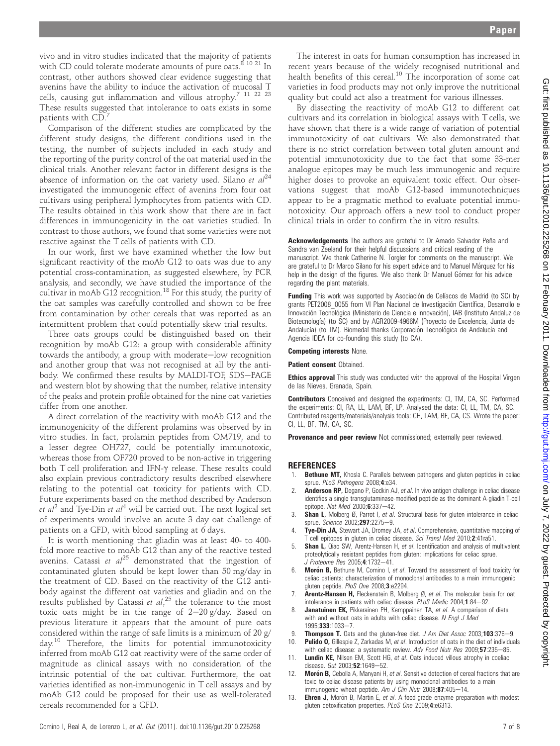vivo and in vitro studies indicated that the majority of patients with CD could tolerate moderate amounts of pure oats.<sup>8 10 21</sup> In contrast, other authors showed clear evidence suggesting that avenins have the ability to induce the activation of mucosal T cells, causing gut inflammation and villous atrophy.7 11 22 23 These results suggested that intolerance to oats exists in some patients with CD.<sup>7</sup>

Comparison of the different studies are complicated by the different study designs, the different conditions used in the testing, the number of subjects included in each study and the reporting of the purity control of the oat material used in the clinical trials. Another relevant factor in different designs is the absence of information on the oat variety used. Silano et  $al^{24}$ investigated the immunogenic effect of avenins from four oat cultivars using peripheral lymphocytes from patients with CD. The results obtained in this work show that there are in fact differences in immunogenicity in the oat varieties studied. In contrast to those authors, we found that some varieties were not reactive against the T cells of patients with CD.

In our work, first we have examined whether the low but significant reactivity of the moAb G12 to oats was due to any potential cross-contamination, as suggested elsewhere, by PCR analysis, and secondly, we have studied the importance of the cultivar in moAb G12 recognition.<sup>18</sup> For this study, the purity of the oat samples was carefully controlled and shown to be free from contamination by other cereals that was reported as an intermittent problem that could potentially skew trial results.

Three oats groups could be distinguished based on their recognition by moAb G12: a group with considerable affinity towards the antibody, a group with moderate-low recognition and another group that was not recognised at all by the antibody. We confirmed these results by MALDI-TOF, SDS-PAGE and western blot by showing that the number, relative intensity of the peaks and protein profile obtained for the nine oat varieties differ from one another.

A direct correlation of the reactivity with moAb G12 and the immunogenicity of the different prolamins was observed by in vitro studies. In fact, prolamin peptides from OM719, and to a lesser degree OH727, could be potentially immunotoxic, whereas those from OF720 proved to be non-active in triggering both T cell proliferation and IFN-g release. These results could also explain previous contradictory results described elsewhere relating to the potential oat toxicity for patients with CD. Future experiments based on the method described by Anderson et  $al^2$  and Tye-Din et  $al^4$  will be carried out. The next logical set of experiments would involve an acute 3 day oat challenge of patients on a GFD, with blood sampling at 6 days.

It is worth mentioning that gliadin was at least 40- to 400 fold more reactive to moAb G12 than any of the reactive tested avenins. Catassi et  $al^{25}$  demonstrated that the ingestion of contaminated gluten should be kept lower than 50 mg/day in the treatment of CD. Based on the reactivity of the G12 antibody against the different oat varieties and gliadin and on the results published by Catassi et  $al$ ,<sup>25</sup> the tolerance to the most toxic oats might be in the range of  $2-20$  g/day. Based on previous literature it appears that the amount of pure oats considered within the range of safe limits is a minimum of 20 g/ day.<sup>10</sup> Therefore, the limits for potential immunotoxicity inferred from moAb G12 oat reactivity were of the same order of magnitude as clinical assays with no consideration of the intrinsic potential of the oat cultivar. Furthermore, the oat varieties identified as non-immunogenic in T cell assays and by moAb G12 could be proposed for their use as well-tolerated cereals recommended for a GFD.

The interest in oats for human consumption has increased in recent years because of the widely recognised nutritional and health benefits of this cereal.<sup>10</sup> The incorporation of some oat varieties in food products may not only improve the nutritional quality but could act also a treatment for various illnesses.

By dissecting the reactivity of moAb G12 to different oat cultivars and its correlation in biological assays with T cells, we have shown that there is a wide range of variation of potential immunotoxicity of oat cultivars. We also demonstrated that there is no strict correlation between total gluten amount and potential immunotoxicity due to the fact that some 33-mer analogue epitopes may be much less immunogenic and require higher doses to provoke an equivalent toxic effect. Our observations suggest that moAb G12-based immunotechniques appear to be a pragmatic method to evaluate potential immunotoxicity. Our approach offers a new tool to conduct proper clinical trials in order to confirm the in vitro results.

Acknowledgements The authors are grateful to Dr Amado Salvador Peña and Sandra van Zeeland for their helpful discussions and critical reading of the manuscript. We thank Catherine N. Torgler for comments on the manuscript. We are grateful to Dr Marco Silano for his expert advice and to Manuel Márquez for his help in the design of the figures. We also thank Dr Manuel Gómez for his advice regarding the plant materials.

Funding This work was supported by Asociación de Celíacos de Madrid (to SC) by grants PET2008 0055 from VI Plan Nacional de Investigación Científica, Desarrollo e Innovación Tecnológica (Ministerio de Ciencia e Innovación), IAB (Instituto Andaluz de Biotecnología) (to SC) and by AGR2009-4966M (Proyecto de Excelencia, Junta de Andalucía) (to TM). Biomedal thanks Corporación Tecnológica de Andalucía and Agencia IDEA for co-founding this study (to CA).

#### Competing interests None.

#### **Patient consent Obtained.**

**Ethics approval** This study was conducted with the approval of the Hospital Virgen de las Nieves, Granada, Spain.

Contributors Conceived and designed the experiments: CI, TM, CA, SC. Performed the experiments: CI, RA, LL, LAM, BF, LP. Analysed the data: CI, LL, TM, CA, SC. Contributed reagents/materials/analysis tools: CH, LAM, BF, CA, CS. Wrote the paper: CI, LL, BF, TM, CA, SC.

Provenance and peer review Not commissioned; externally peer reviewed.

#### **REFERENCES**

- Bethune MT, Khosla C. Parallels between pathogens and gluten peptides in celiac sprue. PLoS Pathogens 2008;4:e34.
- Anderson RP, Degano P, Godkin AJ, et al. In vivo antigen challenge in celiac disease identifies a single transglutaminase-modified peptide as the dominant A-gliadin T-cell epitope. Nat Med 2000;6:337-42.
- Shan L, Molberg Ø, Parrot I, et al. Structural basis for gluten intolerance in celiac sprue. Science 2002;297:2275-9.
- Tye-Din JA, Stewart JA, Dromey JA, et al. Comprehensive, quantitative mapping of T cell epitopes in gluten in celiac disease. Sci Transl Med 2010;2:41ra51.
- 5. Shan L, Qiao SW, Arentz-Hansen H, et al. Identification and analysis of multivalent proteolytically resistant peptides from gluten: implications for celiac sprue. J Proteome Res 2005;4:1732-41.
- 6. Morón B, Bethune M, Comino I, et al. Toward the assessment of food toxicity for celiac patients: characterization of monoclonal antibodies to a main immunogenic gluten peptide. PloS One 2008;3:e2294.
- Arentz-Hansen H, Fleckenstein B, Molberg Ø, et al. The molecular basis for oat intolerance in patients with celiac disease.  $PLoS$  Medic 2004;1:84-92.
- 8. Janatuinen EK, Pikkarainen PH, Kemppainen TA, et al. A comparison of diets with and without oats in adults with celiac disease. N Engl J Med 1995;333:1033-7.
- 9. **Thompson T.** Oats and the gluten-free diet.  $J$  Am Diet Assoc 2003;103:376-9.
- 10. Pulido O, Gillespie Z, Zarkadas M, et al. Introduction of oats in the diet of individuals with celiac disease: a systematic review. Adv Food Nutr Res 2009;57:235-85.
- 11. Lundin KE, Nilsen EM, Scott HG, et al. Oats induced villous atrophy in coeliac disease. Gut 2003;52:1649-52.
- Morón B, Cebolla A, Manyani H, et al. Sensitive detection of cereal fractions that are toxic to celiac disease patients by using monoclonal antibodies to a main immunogenic wheat peptide. Am J Clin Nutr 2008; 87:405-14.
- 13. Ehren J, Morón B, Martin E, et al. A food-grade enzyme preparation with modest gluten detoxification properties. PLoS One 2009;4:e6313.